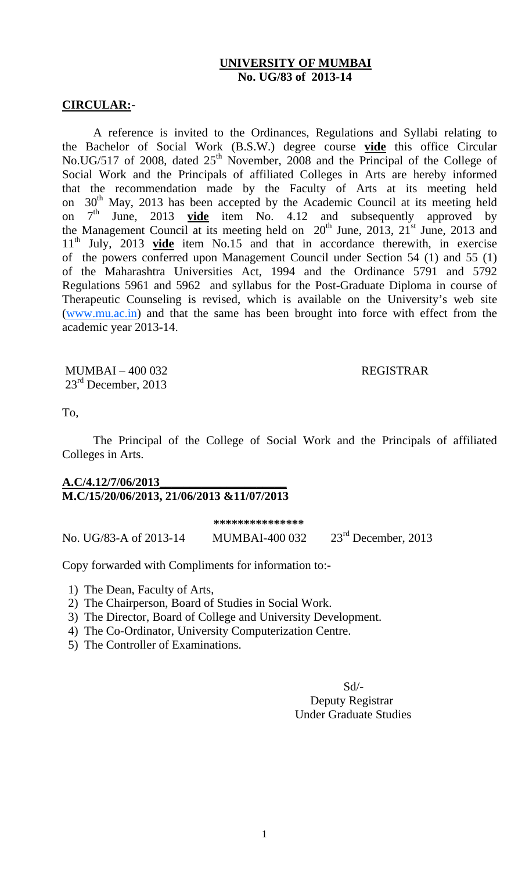#### **UNIVERSITY OF MUMBAI No. UG/83 of 2013-14**

#### **CIRCULAR:-**

 A reference is invited to the Ordinances, Regulations and Syllabi relating to the Bachelor of Social Work (B.S.W.) degree course **vide** this office Circular No.UG/517 of 2008, dated 25<sup>th</sup> November, 2008 and the Principal of the College of Social Work and the Principals of affiliated Colleges in Arts are hereby informed that the recommendation made by the Faculty of Arts at its meeting held on  $30^{th}$  May, 2013 has been accepted by the Academic Council at its meeting held<br>on  $7^{th}$  June. 2013 **vide** item No. 4.12 and subsequently approved by on  $7<sup>th</sup>$  June, 2013 **vide** item No. 4.12 and subsequently approved by the Management Council at its meeting held on  $20^{th}$  June,  $2013$ ,  $21^{st}$  June, 2013 and 11th July, 2013 **vide** item No.15 and that in accordance therewith, in exercise of the powers conferred upon Management Council under Section 54 (1) and 55 (1) of the Maharashtra Universities Act, 1994 and the Ordinance 5791 and 5792 Regulations 5961 and 5962 and syllabus for the Post-Graduate Diploma in course of Therapeutic Counseling is revised, which is available on the University's web site (www.mu.ac.in) and that the same has been brought into force with effect from the academic year 2013-14.

MUMBAI – 400 032 REGISTRAR  $23<sup>rd</sup>$  December, 2013

To,

 The Principal of the College of Social Work and the Principals of affiliated Colleges in Arts.

## **A.C/4.12/7/06/2013\_\_\_\_\_\_\_\_\_\_\_\_\_\_\_\_\_\_\_\_\_ M.C/15/20/06/2013, 21/06/2013 &11/07/2013**

|                        | ***************       |                       |
|------------------------|-----------------------|-----------------------|
| No. UG/83-A of 2013-14 | <b>MUMBAI-400 032</b> | $23rd$ December, 2013 |

Copy forwarded with Compliments for information to:-

- 1) The Dean, Faculty of Arts,
- 2) The Chairperson, Board of Studies in Social Work.
- 3) The Director, Board of College and University Development.
- 4) The Co-Ordinator, University Computerization Centre.
- 5) The Controller of Examinations.

 Sd/- Deputy Registrar Under Graduate Studies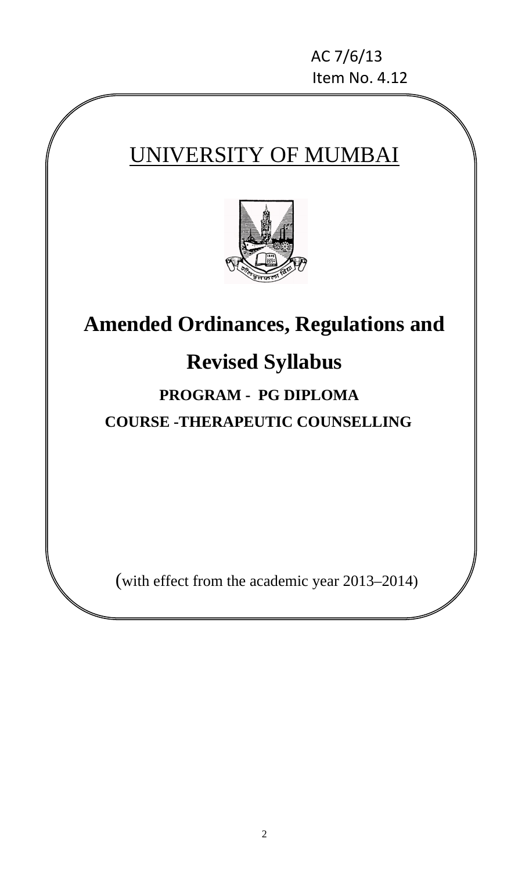AC 7/6/13 Item No. 4.12

# UNIVERSITY OF MUMBAI



## **Amended Ordinances, Regulations and**

## **Revised Syllabus**

## **PROGRAM - PG DIPLOMA COURSE -THERAPEUTIC COUNSELLING**

(with effect from the academic year 2013–2014)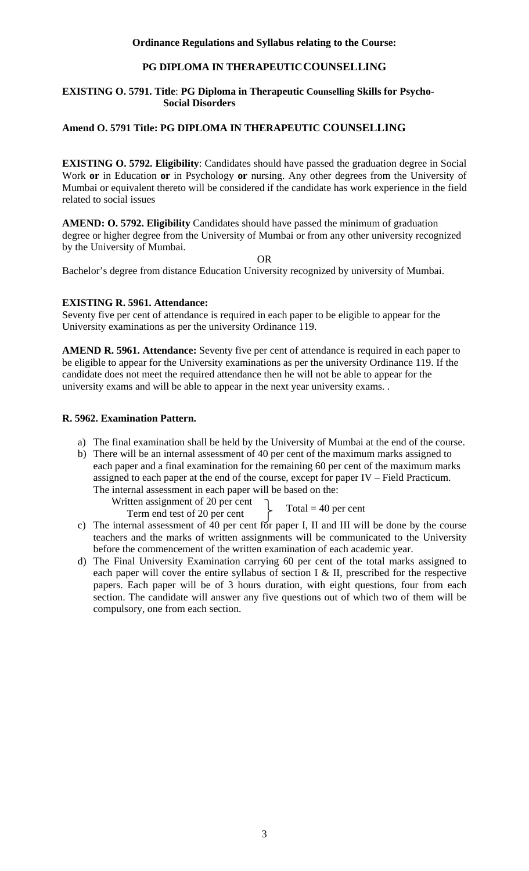#### **Ordinance Regulations and Syllabus relating to the Course:**

#### **PG DIPLOMA IN THERAPEUTICCOUNSELLING**

#### **EXISTING O. 5791. Title**: **PG Diploma in Therapeutic Counselling Skills for Psycho- Social Disorders**

#### **Amend O. 5791 Title: PG DIPLOMA IN THERAPEUTIC COUNSELLING**

**EXISTING O. 5792. Eligibility:** Candidates should have passed the graduation degree in Social Work **or** in Education **or** in Psychology **or** nursing. Any other degrees from the University of Mumbai or equivalent thereto will be considered if the candidate has work experience in the field related to social issues

**AMEND: O. 5792. Eligibility** Candidates should have passed the minimum of graduation degree or higher degree from the University of Mumbai or from any other university recognized by the University of Mumbai.

OR

Bachelor's degree from distance Education University recognized by university of Mumbai.

#### **EXISTING R. 5961. Attendance:**

Seventy five per cent of attendance is required in each paper to be eligible to appear for the University examinations as per the university Ordinance 119.

**AMEND R. 5961. Attendance:** Seventy five per cent of attendance is required in each paper to be eligible to appear for the University examinations as per the university Ordinance 119. If the candidate does not meet the required attendance then he will not be able to appear for the university exams and will be able to appear in the next year university exams. .

#### **R. 5962. Examination Pattern.**

- a) The final examination shall be held by the University of Mumbai at the end of the course.
- b) There will be an internal assessment of 40 per cent of the maximum marks assigned to each paper and a final examination for the remaining 60 per cent of the maximum marks assigned to each paper at the end of the course, except for paper IV – Field Practicum. The internal assessment in each paper will be based on the:

Written assignment of 20 per cent

Term end test of 20 per cent

Total  $=$  40 per cent

- c) The internal assessment of 40 per cent for paper I, II and III will be done by the course teachers and the marks of written assignments will be communicated to the University before the commencement of the written examination of each academic year.
- d) The Final University Examination carrying 60 per cent of the total marks assigned to each paper will cover the entire syllabus of section I & II, prescribed for the respective papers. Each paper will be of 3 hours duration, with eight questions, four from each section. The candidate will answer any five questions out of which two of them will be compulsory, one from each section.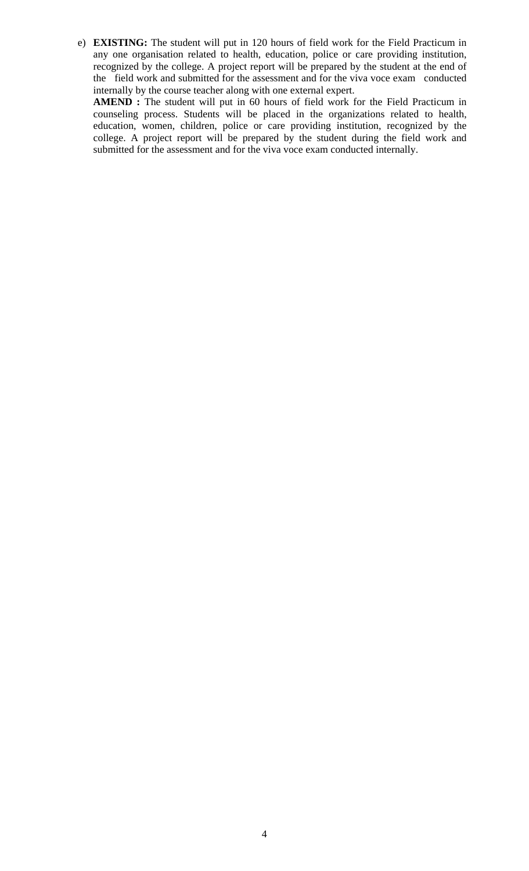e) **EXISTING:** The student will put in 120 hours of field work for the Field Practicum in any one organisation related to health, education, police or care providing institution, recognized by the college. A project report will be prepared by the student at the end of the field work and submitted for the assessment and for the viva voce exam conducted internally by the course teacher along with one external expert.

**AMEND :** The student will put in 60 hours of field work for the Field Practicum in counseling process. Students will be placed in the organizations related to health, education, women, children, police or care providing institution, recognized by the college. A project report will be prepared by the student during the field work and submitted for the assessment and for the viva voce exam conducted internally.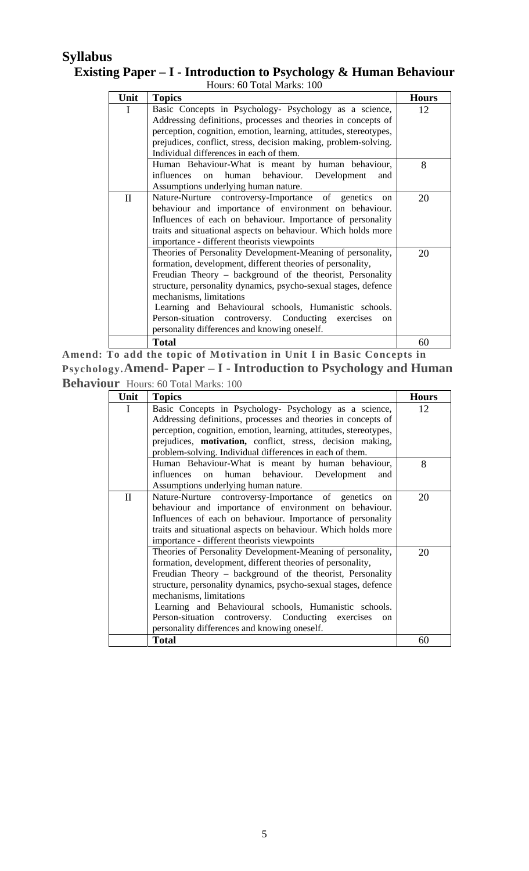## **Syllabus Existing Paper – I - Introduction to Psychology & Human Behaviour**

| Hours: 60 Total Marks: 100 |                                                                                                                                                                                                                                                                                                                                                                                                                                                                     |              |
|----------------------------|---------------------------------------------------------------------------------------------------------------------------------------------------------------------------------------------------------------------------------------------------------------------------------------------------------------------------------------------------------------------------------------------------------------------------------------------------------------------|--------------|
| Unit                       | <b>Topics</b>                                                                                                                                                                                                                                                                                                                                                                                                                                                       | <b>Hours</b> |
| I                          | Basic Concepts in Psychology- Psychology as a science,<br>Addressing definitions, processes and theories in concepts of<br>perception, cognition, emotion, learning, attitudes, stereotypes,<br>prejudices, conflict, stress, decision making, problem-solving.<br>Individual differences in each of them.                                                                                                                                                          | 12           |
|                            | Human Behaviour-What is meant by human behaviour,<br>human behaviour. Development<br>influences on<br>and<br>Assumptions underlying human nature.                                                                                                                                                                                                                                                                                                                   | 8            |
| $\mathbf{I}$               | Nature-Nurture controversy-Importance of genetics<br><sub>on</sub><br>behaviour and importance of environment on behaviour.<br>Influences of each on behaviour. Importance of personality<br>traits and situational aspects on behaviour. Which holds more<br>importance - different theorists viewpoints                                                                                                                                                           | 20           |
|                            | Theories of Personality Development-Meaning of personality,<br>formation, development, different theories of personality,<br>Freudian Theory – background of the theorist, Personality<br>structure, personality dynamics, psycho-sexual stages, defence<br>mechanisms, limitations<br>Learning and Behavioural schools, Humanistic schools.<br>Person-situation controversy. Conducting exercises<br><sub>on</sub><br>personality differences and knowing oneself. | 20           |
|                            | <b>Total</b>                                                                                                                                                                                                                                                                                                                                                                                                                                                        | 60           |

**Amend: To add the topic of Motivation in Unit I in Basic Concepts in Psychology.Amend- Paper – I - Introduction to Psychology and Human Behaviour** Hours: 60 Total Marks: 100

| Unit         | <b>Topics</b>                                                     | <b>Hours</b> |
|--------------|-------------------------------------------------------------------|--------------|
| L            | Basic Concepts in Psychology- Psychology as a science,            | 12           |
|              | Addressing definitions, processes and theories in concepts of     |              |
|              | perception, cognition, emotion, learning, attitudes, stereotypes, |              |
|              | prejudices, motivation, conflict, stress, decision making,        |              |
|              | problem-solving. Individual differences in each of them.          |              |
|              | Human Behaviour-What is meant by human behaviour,                 | 8            |
|              | human behaviour. Development<br>influences on<br>and              |              |
|              | Assumptions underlying human nature.                              |              |
| $\mathbf{I}$ | Nature-Nurture controversy-Importance of genetics<br>on           | 20           |
|              | behaviour and importance of environment on behaviour.             |              |
|              | Influences of each on behaviour. Importance of personality        |              |
|              | traits and situational aspects on behaviour. Which holds more     |              |
|              | importance - different theorists viewpoints                       |              |
|              | Theories of Personality Development-Meaning of personality,       | 20           |
|              | formation, development, different theories of personality,        |              |
|              | Freudian Theory – background of the theorist, Personality         |              |
|              | structure, personality dynamics, psycho-sexual stages, defence    |              |
|              | mechanisms, limitations                                           |              |
|              | Learning and Behavioural schools, Humanistic schools.             |              |
|              | Person-situation controversy. Conducting exercises<br>on.         |              |
|              | personality differences and knowing oneself.                      |              |
|              | <b>Total</b>                                                      | 60           |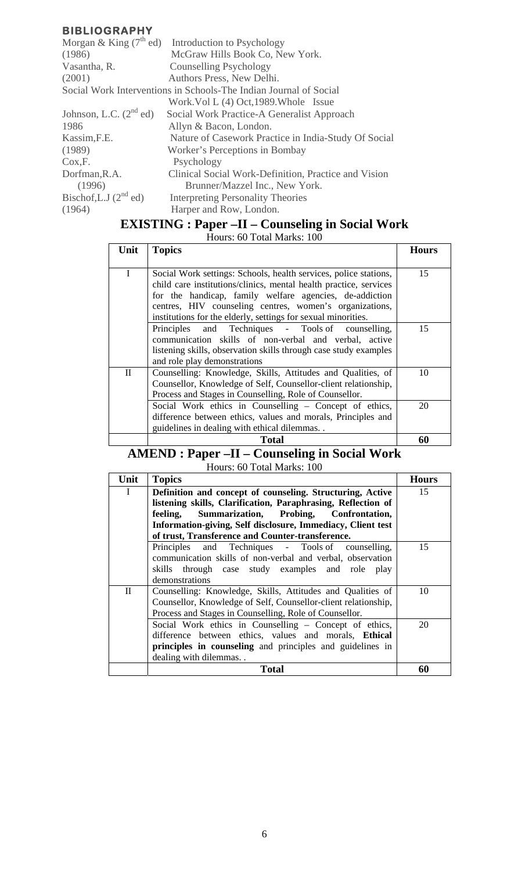|                             | Morgan & King $(7^{\text{th}}$ ed) Introduction to Psychology     |
|-----------------------------|-------------------------------------------------------------------|
| (1986)                      | McGraw Hills Book Co, New York.                                   |
| Vasantha, R.                | <b>Counselling Psychology</b>                                     |
| (2001)                      | Authors Press, New Delhi.                                         |
|                             | Social Work Interventions in Schools-The Indian Journal of Social |
|                             | Work. Vol L (4) Oct, 1989. Whole Issue                            |
| Johnson, L.C. $(2^{nd}$ ed) | Social Work Practice-A Generalist Approach                        |
| 1986                        | Allyn & Bacon, London.                                            |
| Kassim, F.E.                | Nature of Casework Practice in India-Study Of Social              |
| (1989)                      | Worker's Perceptions in Bombay                                    |
| Cox, F.                     | Psychology                                                        |
| Dorfman, R.A.               | Clinical Social Work-Definition, Practice and Vision              |
| (1996)                      | Brunner/Mazzel Inc., New York.                                    |
| Bischof, L.J $(2^{nd}$ ed)  | <b>Interpreting Personality Theories</b>                          |
| (1964)                      | Harper and Row, London.                                           |

## **EXISTING : Paper –II – Counseling in Social Work**

Hours: 60 Total Marks: 100

| Unit     | <b>Topics</b>                                                                                                                                                                                                                                                                                                                | <b>Hours</b> |
|----------|------------------------------------------------------------------------------------------------------------------------------------------------------------------------------------------------------------------------------------------------------------------------------------------------------------------------------|--------------|
| I        | Social Work settings: Schools, health services, police stations,<br>child care institutions/clinics, mental health practice, services<br>for the handicap, family welfare agencies, de-addiction<br>centres, HIV counseling centres, women's organizations,<br>institutions for the elderly, settings for sexual minorities. | 15           |
|          | Principles and Techniques - Tools of counselling,<br>communication skills of non-verbal and verbal, active<br>listening skills, observation skills through case study examples<br>and role play demonstrations                                                                                                               | 15           |
| $\rm II$ | Counselling: Knowledge, Skills, Attitudes and Qualities, of<br>Counsellor, Knowledge of Self, Counsellor-client relationship,<br>Process and Stages in Counselling, Role of Counsellor.                                                                                                                                      | 10           |
|          | Social Work ethics in Counselling – Concept of ethics,<br>difference between ethics, values and morals, Principles and<br>guidelines in dealing with ethical dilemmas                                                                                                                                                        | 20           |
|          | <b>Total</b>                                                                                                                                                                                                                                                                                                                 | 60           |

## **AMEND : Paper –II – Counseling in Social Work**

|  | Hours: 60 Total Marks: 100 |
|--|----------------------------|
|--|----------------------------|

| Unit        | <b>Topics</b>                                                  | <b>Hours</b> |
|-------------|----------------------------------------------------------------|--------------|
| $\mathbf I$ | Definition and concept of counseling. Structuring, Active      | 15           |
|             | listening skills, Clarification, Paraphrasing, Reflection of   |              |
|             | Summarization, Probing, Confrontation,<br>feeling,             |              |
|             | Information-giving, Self disclosure, Immediacy, Client test    |              |
|             | of trust, Transference and Counter-transference.               |              |
|             | Principles and Techniques - Tools of counselling,              | 15           |
|             | communication skills of non-verbal and verbal, observation     |              |
|             | skills through case study examples and role play               |              |
|             | demonstrations                                                 |              |
| П           | Counselling: Knowledge, Skills, Attitudes and Qualities of     | 10           |
|             | Counsellor, Knowledge of Self, Counsellor-client relationship, |              |
|             | Process and Stages in Counselling, Role of Counsellor.         |              |
|             | Social Work ethics in Counselling - Concept of ethics,         | 20           |
|             | difference between ethics, values and morals, Ethical          |              |
|             | principles in counseling and principles and guidelines in      |              |
|             | dealing with dilemmas                                          |              |
|             | Total                                                          | 60           |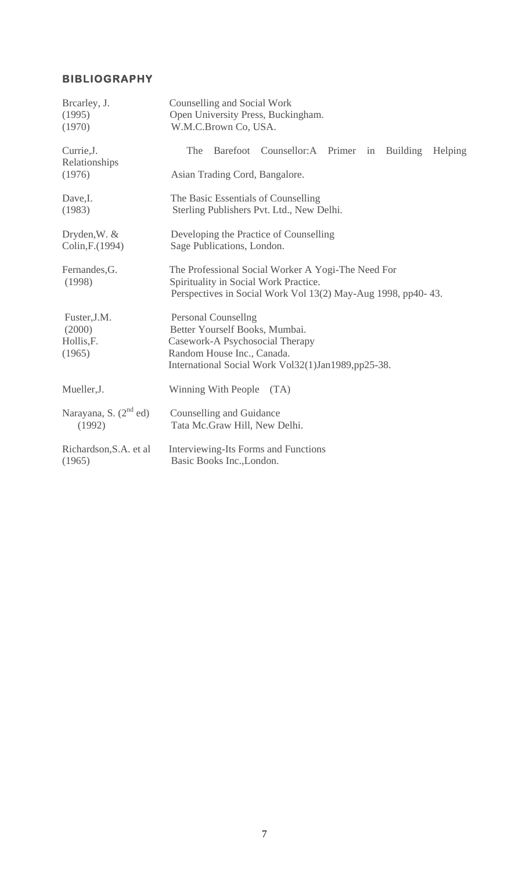| Brearley, J.<br>(1995)<br>(1970)            | Counselling and Social Work<br>Open University Press, Buckingham.<br>W.M.C.Brown Co, USA.                                                                   |
|---------------------------------------------|-------------------------------------------------------------------------------------------------------------------------------------------------------------|
| Currie, J.<br>Relationships                 | The<br>Barefoot Counsellor:A Primer in<br>Building<br><b>Helping</b>                                                                                        |
| (1976)                                      | Asian Trading Cord, Bangalore.                                                                                                                              |
| Dave,I.<br>(1983)                           | The Basic Essentials of Counselling<br>Sterling Publishers Pvt. Ltd., New Delhi.                                                                            |
| Dryden, W. &<br>Colin, F. (1994)            | Developing the Practice of Counselling<br>Sage Publications, London.                                                                                        |
| Fernandes, G.<br>(1998)                     | The Professional Social Worker A Yogi-The Need For<br>Spirituality in Social Work Practice.<br>Perspectives in Social Work Vol 13(2) May-Aug 1998, pp40-43. |
|                                             |                                                                                                                                                             |
| Fuster, J.M.<br>(2000)                      | <b>Personal Counsellng</b><br>Better Yourself Books, Mumbai.                                                                                                |
| Hollis, F.                                  | Casework-A Psychosocial Therapy                                                                                                                             |
| (1965)                                      | Random House Inc., Canada.                                                                                                                                  |
|                                             | International Social Work Vol32(1)Jan1989,pp25-38.                                                                                                          |
| Mueller, J.                                 | Winning With People<br>(TA)                                                                                                                                 |
| Narayana, S. (2 <sup>nd</sup> ed)<br>(1992) | Counselling and Guidance<br>Tata Mc.Graw Hill, New Delhi.                                                                                                   |
| Richardson, S.A. et al.<br>(1965)           | Interviewing-Its Forms and Functions<br>Basic Books Inc., London.                                                                                           |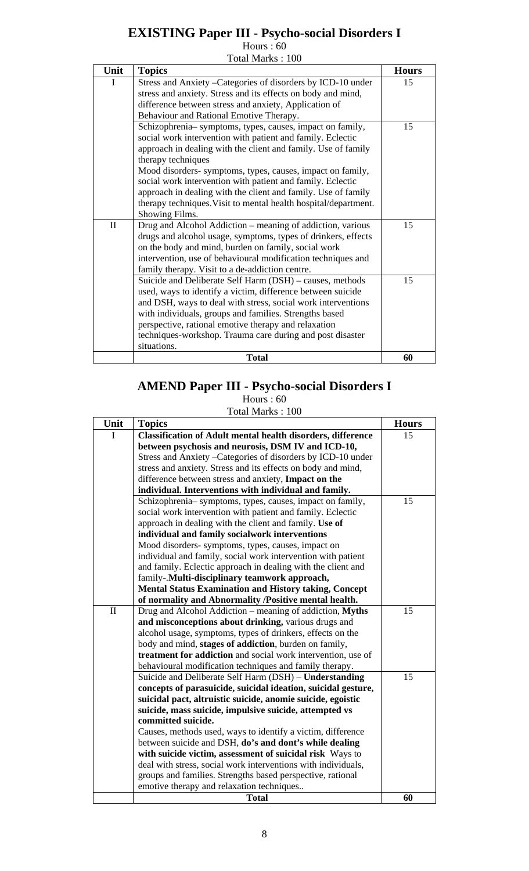## **EXISTING Paper III - Psycho-social Disorders I**

Hours : 60

|  |  | Total Marks: 100 |  |  |
|--|--|------------------|--|--|
|--|--|------------------|--|--|

| Unit         | <b>Topics</b>                                                   | <b>Hours</b> |
|--------------|-----------------------------------------------------------------|--------------|
| I            | Stress and Anxiety - Categories of disorders by ICD-10 under    | 15           |
|              | stress and anxiety. Stress and its effects on body and mind,    |              |
|              | difference between stress and anxiety, Application of           |              |
|              | Behaviour and Rational Emotive Therapy.                         |              |
|              | Schizophrenia-symptoms, types, causes, impact on family,        | 15           |
|              | social work intervention with patient and family. Eclectic      |              |
|              | approach in dealing with the client and family. Use of family   |              |
|              | therapy techniques                                              |              |
|              | Mood disorders- symptoms, types, causes, impact on family,      |              |
|              | social work intervention with patient and family. Eclectic      |              |
|              | approach in dealing with the client and family. Use of family   |              |
|              | therapy techniques. Visit to mental health hospital/department. |              |
|              | Showing Films.                                                  |              |
| $\mathbf{I}$ | Drug and Alcohol Addiction – meaning of addiction, various      | 15           |
|              | drugs and alcohol usage, symptoms, types of drinkers, effects   |              |
|              | on the body and mind, burden on family, social work             |              |
|              | intervention, use of behavioural modification techniques and    |              |
|              | family therapy. Visit to a de-addiction centre.                 |              |
|              | Suicide and Deliberate Self Harm (DSH) - causes, methods        | 15           |
|              | used, ways to identify a victim, difference between suicide     |              |
|              | and DSH, ways to deal with stress, social work interventions    |              |
|              | with individuals, groups and families. Strengths based          |              |
|              | perspective, rational emotive therapy and relaxation            |              |
|              | techniques-workshop. Trauma care during and post disaster       |              |
|              | situations.                                                     |              |
|              | <b>Total</b>                                                    | 60           |

## **AMEND Paper III - Psycho-social Disorders I**

Hours : 60

Total Marks : 100

| Unit         | <b>Topics</b>                                                      | <b>Hours</b> |
|--------------|--------------------------------------------------------------------|--------------|
| Ι            | <b>Classification of Adult mental health disorders, difference</b> | 15           |
|              | between psychosis and neurosis, DSM IV and ICD-10,                 |              |
|              | Stress and Anxiety - Categories of disorders by ICD-10 under       |              |
|              | stress and anxiety. Stress and its effects on body and mind,       |              |
|              | difference between stress and anxiety, Impact on the               |              |
|              | individual. Interventions with individual and family.              |              |
|              | Schizophrenia-symptoms, types, causes, impact on family,           | 15           |
|              | social work intervention with patient and family. Eclectic         |              |
|              | approach in dealing with the client and family. Use of             |              |
|              | individual and family socialwork interventions                     |              |
|              | Mood disorders-symptoms, types, causes, impact on                  |              |
|              | individual and family, social work intervention with patient       |              |
|              | and family. Eclectic approach in dealing with the client and       |              |
|              | family-.Multi-disciplinary teamwork approach,                      |              |
|              | <b>Mental Status Examination and History taking, Concept</b>       |              |
|              | of normality and Abnormality /Positive mental health.              |              |
| $\mathbf{I}$ | Drug and Alcohol Addiction – meaning of addiction, Myths           | 15           |
|              | and misconceptions about drinking, various drugs and               |              |
|              | alcohol usage, symptoms, types of drinkers, effects on the         |              |
|              | body and mind, stages of addiction, burden on family,              |              |
|              | treatment for addiction and social work intervention, use of       |              |
|              | behavioural modification techniques and family therapy.            |              |
|              | Suicide and Deliberate Self Harm (DSH) - Understanding             | 15           |
|              | concepts of parasuicide, suicidal ideation, suicidal gesture,      |              |
|              | suicidal pact, altruistic suicide, anomie suicide, egoistic        |              |
|              | suicide, mass suicide, impulsive suicide, attempted vs             |              |
|              | committed suicide.                                                 |              |
|              | Causes, methods used, ways to identify a victim, difference        |              |
|              | between suicide and DSH, do's and dont's while dealing             |              |
|              | with suicide victim, assessment of suicidal risk Ways to           |              |
|              | deal with stress, social work interventions with individuals,      |              |
|              | groups and families. Strengths based perspective, rational         |              |
|              | emotive therapy and relaxation techniques                          |              |
|              | <b>Total</b>                                                       | 60           |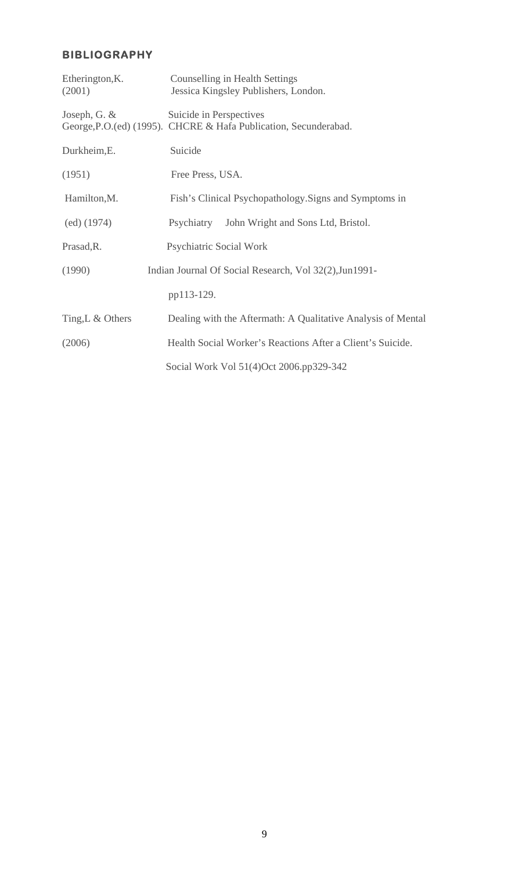| Etherington, K.<br>(2001) | Counselling in Health Settings<br>Jessica Kingsley Publishers, London.                      |
|---------------------------|---------------------------------------------------------------------------------------------|
| Joseph, G. $&$            | Suicide in Perspectives<br>George, P.O.(ed) (1995). CHCRE & Hafa Publication, Secunderabad. |
| Durkheim, E.              | Suicide                                                                                     |
| (1951)                    | Free Press, USA.                                                                            |
| Hamilton, M.              | Fish's Clinical Psychopathology. Signs and Symptoms in                                      |
| (ed) (1974)               | Psychiatry John Wright and Sons Ltd, Bristol.                                               |
| Prasad, R.                | <b>Psychiatric Social Work</b>                                                              |
| (1990)                    | Indian Journal Of Social Research, Vol 32(2), Jun1991-                                      |
|                           | pp113-129.                                                                                  |
| Ting, L & Others          | Dealing with the Aftermath: A Qualitative Analysis of Mental                                |
| (2006)                    | Health Social Worker's Reactions After a Client's Suicide.                                  |
|                           | Social Work Vol 51(4)Oct 2006.pp329-342                                                     |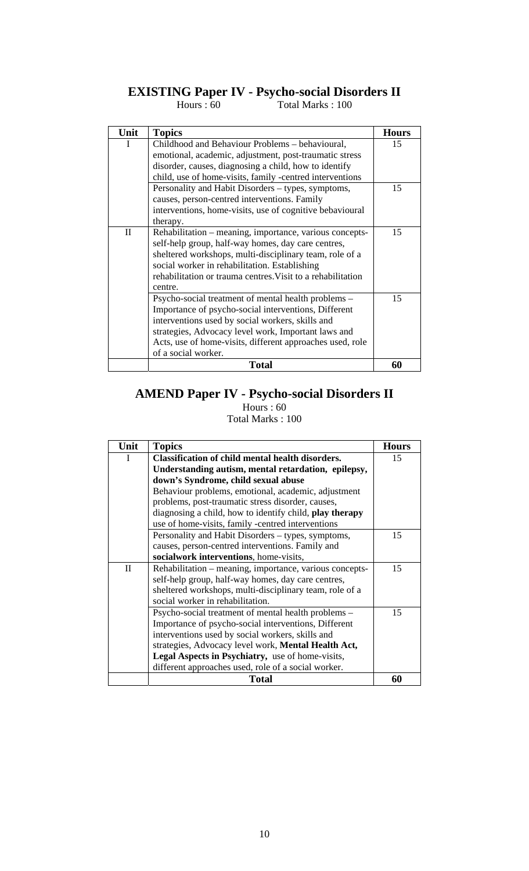### **EXISTING Paper IV - Psycho-social Disorders II**

Hours : 60 Total Marks : 100

| Unit         | <b>Topics</b>                                               | <b>Hours</b> |
|--------------|-------------------------------------------------------------|--------------|
|              |                                                             |              |
| I            | Childhood and Behaviour Problems - behavioural,             | 15           |
|              | emotional, academic, adjustment, post-traumatic stress      |              |
|              | disorder, causes, diagnosing a child, how to identify       |              |
|              | child, use of home-visits, family -centred interventions    |              |
|              | Personality and Habit Disorders – types, symptoms,          | 15           |
|              | causes, person-centred interventions. Family                |              |
|              | interventions, home-visits, use of cognitive bebavioural    |              |
|              | therapy.                                                    |              |
| $\mathbf{I}$ | Rehabilitation – meaning, importance, various concepts-     | 15           |
|              | self-help group, half-way homes, day care centres,          |              |
|              | sheltered workshops, multi-disciplinary team, role of a     |              |
|              | social worker in rehabilitation. Establishing               |              |
|              | rehabilitation or trauma centres. Visit to a rehabilitation |              |
|              | centre.                                                     |              |
|              | Psycho-social treatment of mental health problems –         | 15           |
|              | Importance of psycho-social interventions, Different        |              |
|              | interventions used by social workers, skills and            |              |
|              | strategies, Advocacy level work, Important laws and         |              |
|              | Acts, use of home-visits, different approaches used, role   |              |
|              | of a social worker.                                         |              |
|              | Total                                                       | 60           |

#### **AMEND Paper IV - Psycho-social Disorders II**

| Unit      | <b>Topics</b>                                           | <b>Hours</b> |
|-----------|---------------------------------------------------------|--------------|
| I         | <b>Classification of child mental health disorders.</b> | 15           |
|           | Understanding autism, mental retardation, epilepsy,     |              |
|           | down's Syndrome, child sexual abuse                     |              |
|           | Behaviour problems, emotional, academic, adjustment     |              |
|           | problems, post-traumatic stress disorder, causes,       |              |
|           | diagnosing a child, how to identify child, play therapy |              |
|           | use of home-visits, family -centred interventions       |              |
|           | Personality and Habit Disorders – types, symptoms,      | 15           |
|           | causes, person-centred interventions. Family and        |              |
|           | socialwork interventions, home-visits,                  |              |
| $\rm{II}$ | Rehabilitation – meaning, importance, various concepts- | 15           |
|           | self-help group, half-way homes, day care centres,      |              |
|           | sheltered workshops, multi-disciplinary team, role of a |              |
|           | social worker in rehabilitation.                        |              |
|           | Psycho-social treatment of mental health problems -     | 15           |
|           | Importance of psycho-social interventions, Different    |              |
|           | interventions used by social workers, skills and        |              |
|           | strategies, Advocacy level work, Mental Health Act,     |              |
|           | Legal Aspects in Psychiatry, use of home-visits,        |              |
|           | different approaches used, role of a social worker.     |              |
|           | Total                                                   | 60           |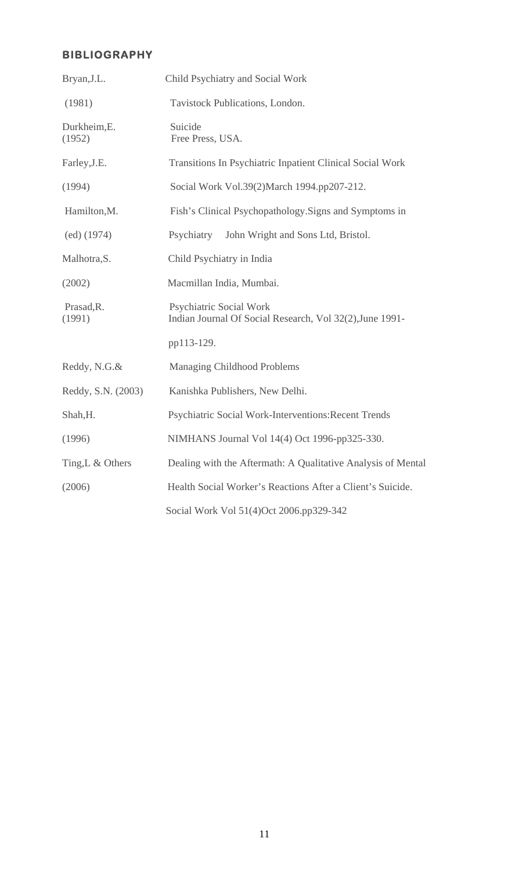| Bryan, J.L.            | Child Psychiatry and Social Work                                                           |
|------------------------|--------------------------------------------------------------------------------------------|
| (1981)                 | Tavistock Publications, London.                                                            |
| Durkheim, E.<br>(1952) | Suicide<br>Free Press, USA.                                                                |
| Farley, J.E.           | Transitions In Psychiatric Inpatient Clinical Social Work                                  |
| (1994)                 | Social Work Vol.39(2)March 1994.pp207-212.                                                 |
| Hamilton, M.           | Fish's Clinical Psychopathology. Signs and Symptoms in                                     |
| (ed) (1974)            | Psychiatry<br>John Wright and Sons Ltd, Bristol.                                           |
| Malhotra, S.           | Child Psychiatry in India                                                                  |
| (2002)                 | Macmillan India, Mumbai.                                                                   |
| Prasad, R.<br>(1991)   | <b>Psychiatric Social Work</b><br>Indian Journal Of Social Research, Vol 32(2), June 1991- |
|                        | pp113-129.                                                                                 |
| Reddy, N.G.&           | <b>Managing Childhood Problems</b>                                                         |
| Reddy, S.N. (2003)     | Kanishka Publishers, New Delhi.                                                            |
| Shah, H.               | Psychiatric Social Work-Interventions: Recent Trends                                       |
| (1996)                 | NIMHANS Journal Vol 14(4) Oct 1996-pp325-330.                                              |
| Ting, L & Others       | Dealing with the Aftermath: A Qualitative Analysis of Mental                               |
| (2006)                 | Health Social Worker's Reactions After a Client's Suicide.                                 |
|                        | Social Work Vol 51(4)Oct 2006.pp329-342                                                    |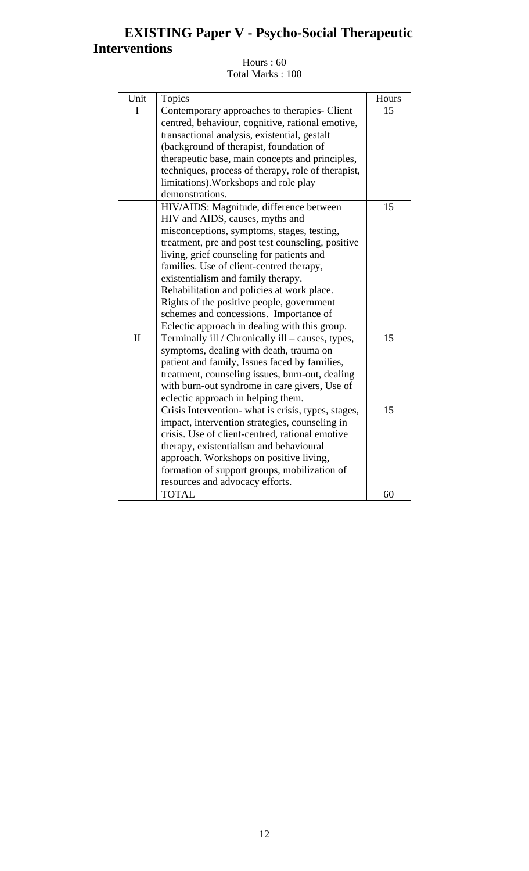## **EXISTING Paper V - Psycho-Social Therapeutic Interventions**

| Unit         | Topics                                              | Hours |
|--------------|-----------------------------------------------------|-------|
| I            | Contemporary approaches to therapies- Client        | 15    |
|              | centred, behaviour, cognitive, rational emotive,    |       |
|              | transactional analysis, existential, gestalt        |       |
|              | (background of therapist, foundation of             |       |
|              | therapeutic base, main concepts and principles,     |       |
|              | techniques, process of therapy, role of therapist,  |       |
|              | limitations). Workshops and role play               |       |
|              | demonstrations.                                     |       |
|              | HIV/AIDS: Magnitude, difference between             | 15    |
|              | HIV and AIDS, causes, myths and                     |       |
|              | misconceptions, symptoms, stages, testing,          |       |
|              | treatment, pre and post test counseling, positive   |       |
|              | living, grief counseling for patients and           |       |
|              | families. Use of client-centred therapy,            |       |
|              | existentialism and family therapy.                  |       |
|              | Rehabilitation and policies at work place.          |       |
|              | Rights of the positive people, government           |       |
|              | schemes and concessions. Importance of              |       |
|              | Eclectic approach in dealing with this group.       |       |
| $\mathbf{I}$ | Terminally ill / Chronically ill - causes, types,   | 15    |
|              | symptoms, dealing with death, trauma on             |       |
|              | patient and family, Issues faced by families,       |       |
|              | treatment, counseling issues, burn-out, dealing     |       |
|              | with burn-out syndrome in care givers, Use of       |       |
|              | eclectic approach in helping them.                  |       |
|              | Crisis Intervention- what is crisis, types, stages, | 15    |
|              | impact, intervention strategies, counseling in      |       |
|              | crisis. Use of client-centred, rational emotive     |       |
|              | therapy, existentialism and behavioural             |       |
|              | approach. Workshops on positive living,             |       |
|              | formation of support groups, mobilization of        |       |
|              | resources and advocacy efforts.                     |       |
|              | <b>TOTAL</b>                                        | 60    |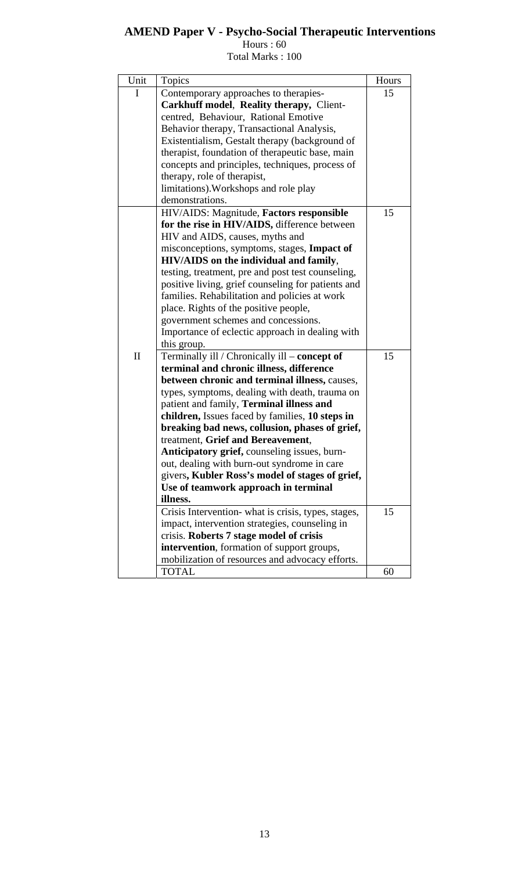### **AMEND Paper V - Psycho-Social Therapeutic Interventions**

Hours : 60

| Total Marks: 100 |  |  |
|------------------|--|--|
|------------------|--|--|

| Unit         | Topics                                              | Hours |
|--------------|-----------------------------------------------------|-------|
| I            | Contemporary approaches to therapies-               | 15    |
|              | Carkhuff model, Reality therapy, Client-            |       |
|              | centred, Behaviour, Rational Emotive                |       |
|              | Behavior therapy, Transactional Analysis,           |       |
|              | Existentialism, Gestalt therapy (background of      |       |
|              | therapist, foundation of therapeutic base, main     |       |
|              | concepts and principles, techniques, process of     |       |
|              | therapy, role of therapist,                         |       |
|              | limitations). Workshops and role play               |       |
|              | demonstrations.                                     |       |
|              | HIV/AIDS: Magnitude, Factors responsible            | 15    |
|              | for the rise in HIV/AIDS, difference between        |       |
|              | HIV and AIDS, causes, myths and                     |       |
|              | misconceptions, symptoms, stages, Impact of         |       |
|              | <b>HIV/AIDS</b> on the individual and family,       |       |
|              | testing, treatment, pre and post test counseling,   |       |
|              | positive living, grief counseling for patients and  |       |
|              | families. Rehabilitation and policies at work       |       |
|              | place. Rights of the positive people,               |       |
|              | government schemes and concessions.                 |       |
|              | Importance of eclectic approach in dealing with     |       |
|              | this group.                                         |       |
| $\mathbf{I}$ | Terminally ill / Chronically ill – concept of       | 15    |
|              | terminal and chronic illness, difference            |       |
|              | between chronic and terminal illness, causes,       |       |
|              | types, symptoms, dealing with death, trauma on      |       |
|              | patient and family, Terminal illness and            |       |
|              | children, Issues faced by families, 10 steps in     |       |
|              | breaking bad news, collusion, phases of grief,      |       |
|              | treatment, Grief and Bereavement,                   |       |
|              | Anticipatory grief, counseling issues, burn-        |       |
|              | out, dealing with burn-out syndrome in care         |       |
|              | givers, Kubler Ross's model of stages of grief,     |       |
|              | Use of teamwork approach in terminal                |       |
|              | illness.                                            |       |
|              | Crisis Intervention- what is crisis, types, stages, | 15    |
|              | impact, intervention strategies, counseling in      |       |
|              | crisis. Roberts 7 stage model of crisis             |       |
|              | intervention, formation of support groups,          |       |
|              | mobilization of resources and advocacy efforts.     |       |
|              | <b>TOTAL</b>                                        | 60    |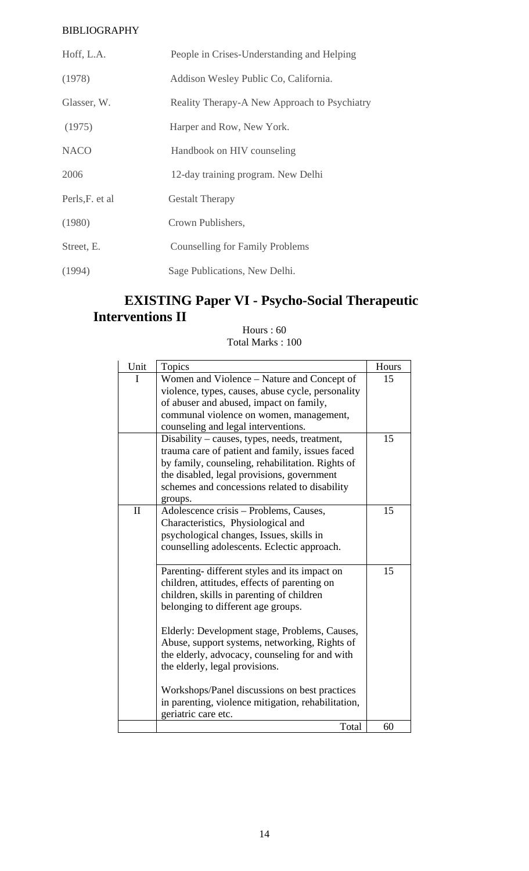| Hoff, L.A.       | People in Crises-Understanding and Helping   |
|------------------|----------------------------------------------|
| (1978)           | Addison Wesley Public Co, California.        |
| Glasser, W.      | Reality Therapy-A New Approach to Psychiatry |
| (1975)           | Harper and Row, New York.                    |
| <b>NACO</b>      | Handbook on HIV counseling                   |
| 2006             | 12-day training program. New Delhi           |
| Perls, F. et al. | <b>Gestalt Therapy</b>                       |
| (1980)           | Crown Publishers,                            |
| Street, E.       | Counselling for Family Problems              |
| (1994)           | Sage Publications, New Delhi.                |

## **EXISTING Paper VI - Psycho-Social Therapeutic Interventions II**

| Unit         | <b>Topics</b>                                      | Hours |
|--------------|----------------------------------------------------|-------|
| $\mathbf I$  | Women and Violence – Nature and Concept of         | 15    |
|              | violence, types, causes, abuse cycle, personality  |       |
|              | of abuser and abused, impact on family,            |       |
|              | communal violence on women, management,            |       |
|              | counseling and legal interventions.                |       |
|              | Disability – causes, types, needs, treatment,      | 15    |
|              | trauma care of patient and family, issues faced    |       |
|              | by family, counseling, rehabilitation. Rights of   |       |
|              | the disabled, legal provisions, government         |       |
|              | schemes and concessions related to disability      |       |
|              | groups.                                            |       |
| $\mathbf{I}$ | Adolescence crisis – Problems, Causes,             | 15    |
|              | Characteristics, Physiological and                 |       |
|              | psychological changes, Issues, skills in           |       |
|              | counselling adolescents. Eclectic approach.        |       |
|              |                                                    |       |
|              | Parenting- different styles and its impact on      | 15    |
|              | children, attitudes, effects of parenting on       |       |
|              | children, skills in parenting of children          |       |
|              | belonging to different age groups.                 |       |
|              |                                                    |       |
|              | Elderly: Development stage, Problems, Causes,      |       |
|              | Abuse, support systems, networking, Rights of      |       |
|              | the elderly, advocacy, counseling for and with     |       |
|              | the elderly, legal provisions.                     |       |
|              |                                                    |       |
|              | Workshops/Panel discussions on best practices      |       |
|              | in parenting, violence mitigation, rehabilitation, |       |
|              | geriatric care etc.                                |       |
|              | Total                                              | 60    |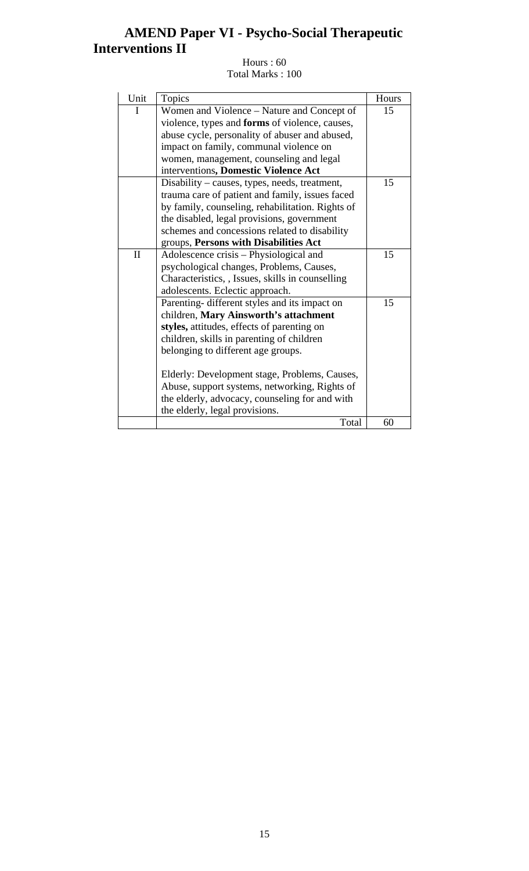## **AMEND Paper VI - Psycho-Social Therapeutic Interventions II**

| Unit         | <b>Topics</b>                                         | Hours |
|--------------|-------------------------------------------------------|-------|
| I            | Women and Violence - Nature and Concept of            | 15    |
|              | violence, types and <b>forms</b> of violence, causes, |       |
|              | abuse cycle, personality of abuser and abused,        |       |
|              | impact on family, communal violence on                |       |
|              | women, management, counseling and legal               |       |
|              | interventions, Domestic Violence Act                  |       |
|              | Disability – causes, types, needs, treatment,         | 15    |
|              | trauma care of patient and family, issues faced       |       |
|              | by family, counseling, rehabilitation. Rights of      |       |
|              | the disabled, legal provisions, government            |       |
|              | schemes and concessions related to disability         |       |
|              | groups, Persons with Disabilities Act                 |       |
| $\mathbf{I}$ | Adolescence crisis – Physiological and                | 15    |
|              | psychological changes, Problems, Causes,              |       |
|              | Characteristics, , Issues, skills in counselling      |       |
|              | adolescents. Eclectic approach.                       |       |
|              | Parenting- different styles and its impact on         | 15    |
|              | children, Mary Ainsworth's attachment                 |       |
|              | styles, attitudes, effects of parenting on            |       |
|              | children, skills in parenting of children             |       |
|              | belonging to different age groups.                    |       |
|              |                                                       |       |
|              | Elderly: Development stage, Problems, Causes,         |       |
|              | Abuse, support systems, networking, Rights of         |       |
|              | the elderly, advocacy, counseling for and with        |       |
|              | the elderly, legal provisions.                        |       |
|              | Total                                                 | 60    |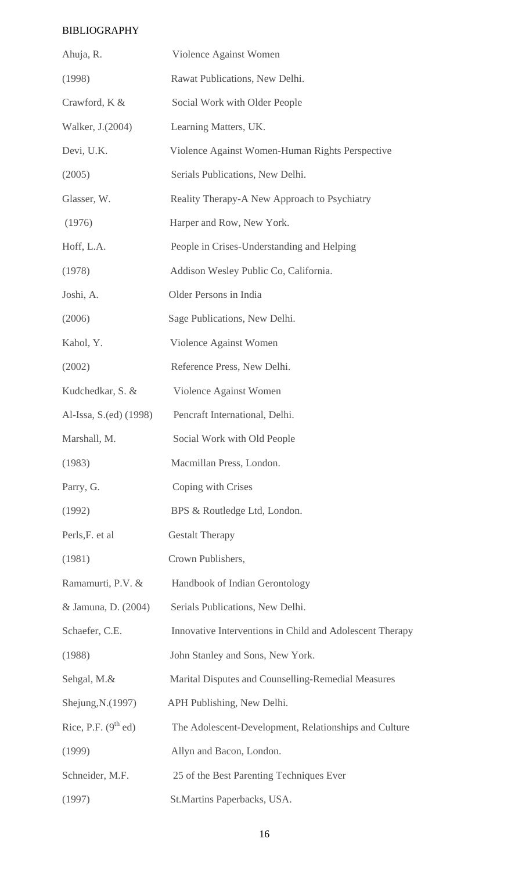| Ahuja, R.              | Violence Against Women                                   |
|------------------------|----------------------------------------------------------|
| (1998)                 | Rawat Publications, New Delhi.                           |
| Crawford, K &          | Social Work with Older People                            |
| Walker, J.(2004)       | Learning Matters, UK.                                    |
| Devi, U.K.             | Violence Against Women-Human Rights Perspective          |
| (2005)                 | Serials Publications, New Delhi.                         |
| Glasser, W.            | Reality Therapy-A New Approach to Psychiatry             |
| (1976)                 | Harper and Row, New York.                                |
| Hoff, L.A.             | People in Crises-Understanding and Helping               |
| (1978)                 | Addison Wesley Public Co, California.                    |
| Joshi, A.              | Older Persons in India                                   |
| (2006)                 | Sage Publications, New Delhi.                            |
| Kahol, Y.              | Violence Against Women                                   |
| (2002)                 | Reference Press, New Delhi.                              |
| Kudchedkar, S. &       | Violence Against Women                                   |
| Al-Issa, S.(ed) (1998) | Pencraft International, Delhi.                           |
| Marshall, M.           | Social Work with Old People                              |
| (1983)                 | Macmillan Press, London.                                 |
| Parry, G.              | Coping with Crises                                       |
| (1992)                 | BPS & Routledge Ltd, London.                             |
| Perls, F. et al        | <b>Gestalt Therapy</b>                                   |
| (1981)                 | Crown Publishers,                                        |
| Ramamurti, P.V. &      | Handbook of Indian Gerontology                           |
| & Jamuna, D. (2004)    | Serials Publications, New Delhi.                         |
| Schaefer, C.E.         | Innovative Interventions in Child and Adolescent Therapy |
| (1988)                 | John Stanley and Sons, New York.                         |
| Sehgal, M.&            | Marital Disputes and Counselling-Remedial Measures       |
| Shejung, N.(1997)      | APH Publishing, New Delhi.                               |
| Rice, P.F. $(9th$ ed)  | The Adolescent-Development, Relationships and Culture    |
| (1999)                 | Allyn and Bacon, London.                                 |
| Schneider, M.F.        | 25 of the Best Parenting Techniques Ever                 |
| (1997)                 | St. Martins Paperbacks, USA.                             |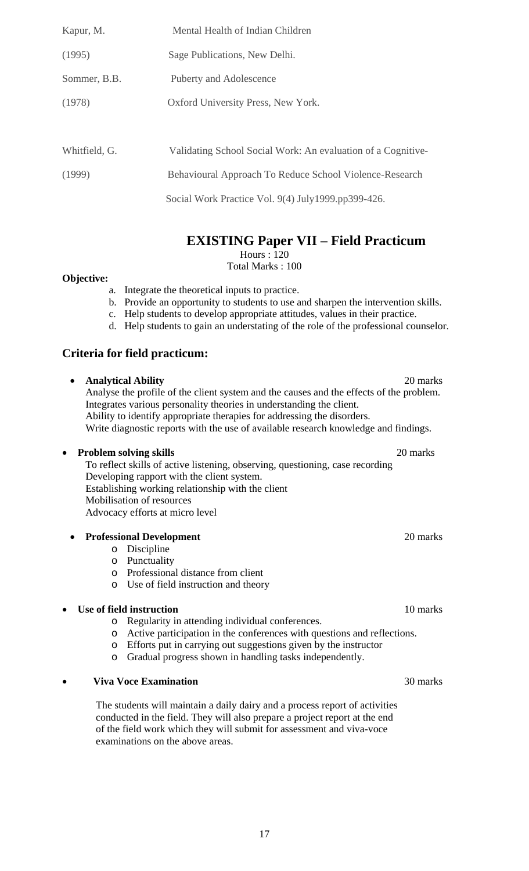| Kapur, M.     | Mental Health of Indian Children                             |
|---------------|--------------------------------------------------------------|
| (1995)        | Sage Publications, New Delhi.                                |
| Sommer, B.B.  | <b>Puberty and Adolescence</b>                               |
| (1978)        | Oxford University Press, New York.                           |
|               |                                                              |
| Whitfield, G. | Validating School Social Work: An evaluation of a Cognitive- |
| (1999)        | Behavioural Approach To Reduce School Violence-Research      |
|               | Social Work Practice Vol. 9(4) July1999.pp399-426.           |

**EXISTING Paper VII – Field Practicum** 

Hours : 120

Total Marks : 100

#### **Objective:**

- a. Integrate the theoretical inputs to practice.
- b. Provide an opportunity to students to use and sharpen the intervention skills.
- c. Help students to develop appropriate attitudes, values in their practice.
- d. Help students to gain an understating of the role of the professional counselor.

## **Criteria for field practicum:**

### • **Analytical Ability** 20 marks

Analyse the profile of the client system and the causes and the effects of the problem. Integrates various personality theories in understanding the client. Ability to identify appropriate therapies for addressing the disorders. Write diagnostic reports with the use of available research knowledge and findings.

#### • **Problem solving skills** 20 marks

To reflect skills of active listening, observing, questioning, case recording Developing rapport with the client system. Establishing working relationship with the client Mobilisation of resources Advocacy efforts at micro level

#### **Professional Development** 20 marks 20 marks 20 marks 20 marks 20 marks 20 marks 20 marks 20 marks 20 marks 20 marks 20 marks 20 marks 20 marks 20 marks 20 marks 20 marks 20 marks 20 marks 20 marks 20 marks 20 marks 20 mar

- o Discipline
- o Punctuality
- o Professional distance from client
- o Use of field instruction and theory

#### **Use of field instruction** 10 marks

- o Regularity in attending individual conferences.
- o Active participation in the conferences with questions and reflections.
- o Efforts put in carrying out suggestions given by the instructor
- o Gradual progress shown in handling tasks independently.

#### **Viva Voce Examination** 30 marks

The students will maintain a daily dairy and a process report of activities conducted in the field. They will also prepare a project report at the end of the field work which they will submit for assessment and viva-voce examinations on the above areas.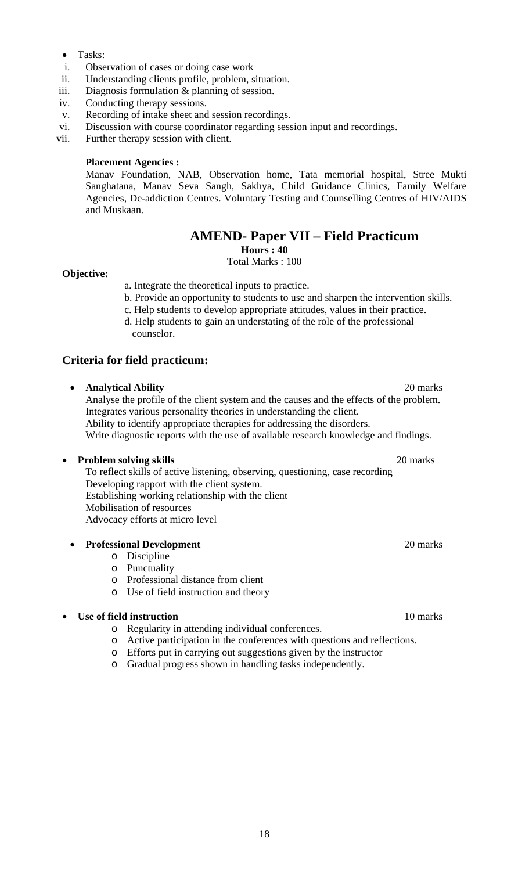- Tasks:
- i. Observation of cases or doing case work
- ii. Understanding clients profile, problem, situation.
- iii. Diagnosis formulation & planning of session.
- iv. Conducting therapy sessions.
- v. Recording of intake sheet and session recordings.
- vi. Discussion with course coordinator regarding session input and recordings.
- vii. Further therapy session with client.

#### **Placement Agencies :**

Manav Foundation, NAB, Observation home, Tata memorial hospital, Stree Mukti Sanghatana, Manav Seva Sangh, Sakhya, Child Guidance Clinics, Family Welfare Agencies, De-addiction Centres. Voluntary Testing and Counselling Centres of HIV/AIDS and Muskaan.

## **AMEND- Paper VII – Field Practicum**

**Hours : 40** 

Total Marks : 100

#### **Objective:**

a. Integrate the theoretical inputs to practice.

- b. Provide an opportunity to students to use and sharpen the intervention skills.
- c. Help students to develop appropriate attitudes, values in their practice. d. Help students to gain an understating of the role of the professional
- counselor.

#### **Criteria for field practicum:**

#### • **Analytical Ability** 20 marks

Analyse the profile of the client system and the causes and the effects of the problem. Integrates various personality theories in understanding the client. Ability to identify appropriate therapies for addressing the disorders. Write diagnostic reports with the use of available research knowledge and findings.

#### • **Problem solving skills** 20 marks

To reflect skills of active listening, observing, questioning, case recording Developing rapport with the client system. Establishing working relationship with the client Mobilisation of resources Advocacy efforts at micro level

#### **Professional Development** 20 marks

- o Discipline
- o Punctuality
- o Professional distance from client
- o Use of field instruction and theory

#### **Use of field instruction** 10 marks

- o Regularity in attending individual conferences.
- o Active participation in the conferences with questions and reflections.
- o Efforts put in carrying out suggestions given by the instructor
- o Gradual progress shown in handling tasks independently.